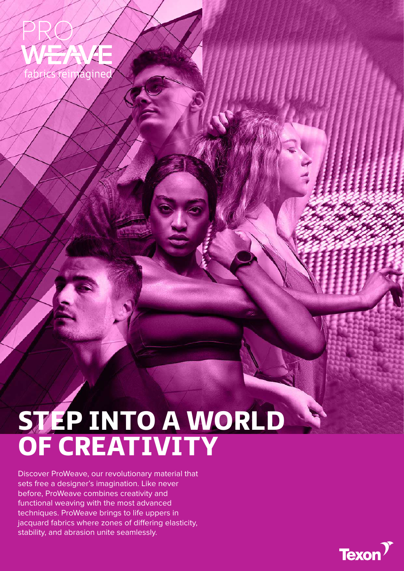

## STEP INTO A WORLD OF CREATIVITY

Discover ProWeave, our revolutionary material that sets free a designer's imagination. Like never before, ProWeave combines creativity and functional weaving with the most advanced techniques. ProWeave brings to life uppers in jacquard fabrics where zones of differing elasticity, stability, and abrasion unite seamlessly.